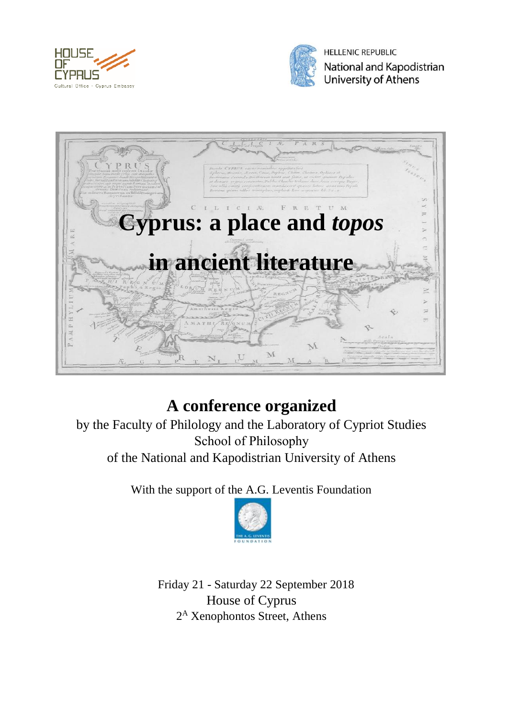



**HELLENIC REPUBLIC** National and Kapodistrian University of Athens



# **A conference organized**

by the Faculty of Philology and the Laboratory of Cypriot Studies School of Philosophy of the National and Kapodistrian University of Athens

With the support of the A.G. Leventis Foundation



 Friday 21 - Saturday 22 September 2018 House of Cyprus 2<sup>A</sup> Xenophontos Street, Athens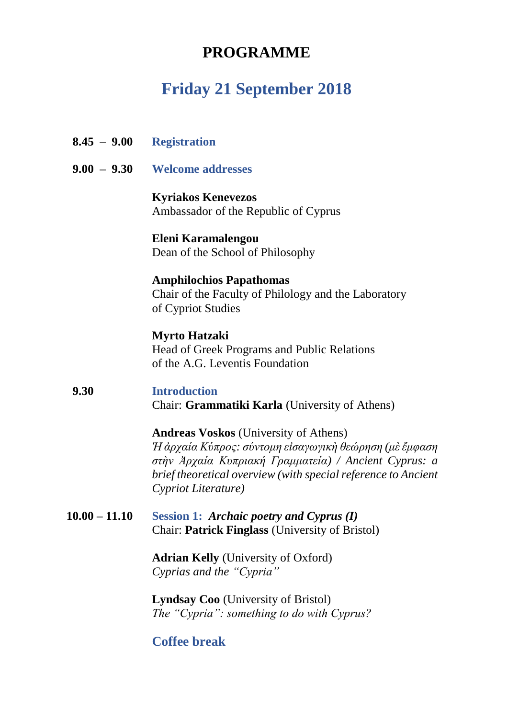## **PROGRAMME**

## **Friday 21 September 2018**

- **8.45 9.00 Registration**
- **9.00 9.30 Welcome addresses**

**Kyriakos Kenevezos** Ambassador of the Republic of Cyprus

**Eleni Karamalengou** Dean of the School of Philosophy

## **Amphilochios Papathomas**

Chair of the Faculty of Philology and the Laboratory of Cypriot Studies

### **Myrto Hatzaki**

Head of Greek Programs and Public Relations of the A.G. Leventis Foundation

#### **9.30 Introduction** Chair: **Grammatiki Karla** (University of Athens)

**Andreas Voskos** (University of Athens) *Ἡ ἀρχαία Κύπρος: σύντομη εἰσαγωγικὴ θεώρηση (μὲἔμφαση στὴν Ἀρχαία Κυπριακή Γραμματεία) / Ancient Cyprus: a brief theoretical overview (with special reference to Ancient Cypriot Literature)*

#### **10.00 – 11.10 Session 1:** *Archaic poetry and Cyprus (I)* Chair: **Patrick Finglass** (University of Bristol)

**Adrian Kelly** (University of Oxford) *Cyprias and the "Cypria"*

**Lyndsay Coo** (University of Bristol) *The "Cypria": something to do with Cyprus?*

### **Coffee break**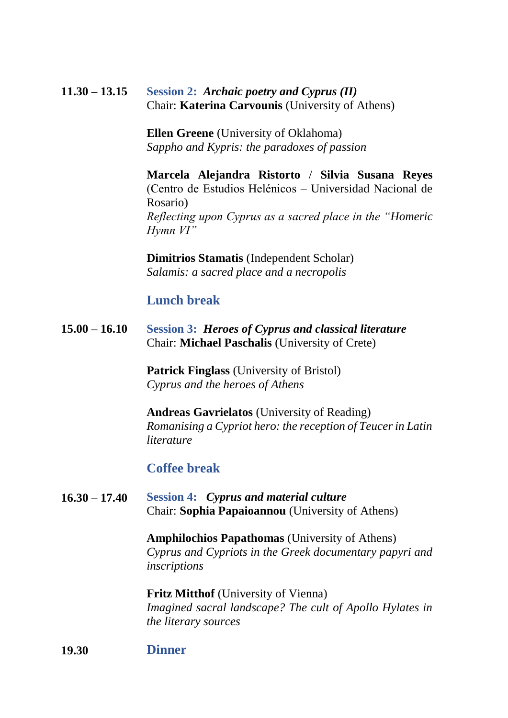#### **11.30 – 13.15 Session 2:** *Archaic poetry and Cyprus (II)* Chair: **Katerina Carvounis** (University of Athens)

**Ellen Greene** (University of Oklahoma) *Sappho and Kypris: the paradoxes of passion*

**Marcela Alejandra Ristorto** / **Silvia Susana Reyes** (Centro de Estudios Helénicos – Universidad Nacional de Rosario) *Reflecting upon Cyprus as a sacred place in the "Homeric Hymn VI"*

**Dimitrios Stamatis** (Independent Scholar) *Salamis: a sacred place and a necropolis*

### **Lunch break**

**15.00 – 16.10 Session 3:** *Heroes of Cyprus and classical literature* Chair: **Michael Paschalis** (University of Crete)

> **Patrick Finglass** (University of Bristol) *Cyprus and the heroes of Athens*

**Andreas Gavrielatos** (University of Reading) *Romanising a Cypriot hero: the reception of Teucer in Latin literature*

### **Coffee break**

#### **16.30 – 17.40 Session 4:** *Cyprus and material culture* Chair: **Sophia Papaioannou** (University of Athens)

**Amphilochios Papathomas** (University of Athens) *Cyprus and Cypriots in the Greek documentary papyri and inscriptions*

**Fritz Mitthof** (University of Vienna) *Imagined sacral landscape? The cult of Apollo Hylates in the literary sources*

#### **19.30 Dinner**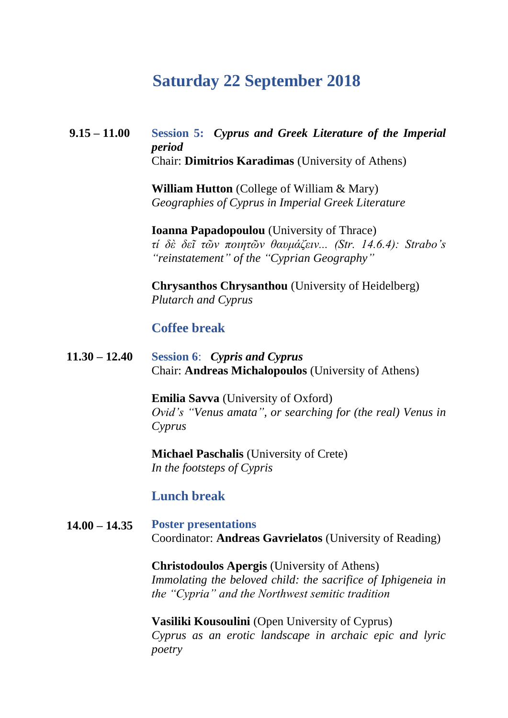## **Saturday 22 September 2018**

#### **9.15 – 11.00 Session 5:** *Cyprus and Greek Literature of the Imperial period* Chair: **Dimitrios Karadimas** (University of Athens)

**William Hutton** (College of William & Mary) *Geographies of Cyprus in Imperial Greek Literature*

**Ioanna Papadopoulou** (University of Thrace) *τί δὲ δεῖ τῶν ποιητῶν θαυμάζειν... (Str. 14.6.4): Strabo's "reinstatement" of the "Cyprian Geography"*

**Chrysanthos Chrysanthou** (University of Heidelberg) *Plutarch and Cyprus*

### **Coffee break**

**11.30 – 12.40 Session 6**: *Cypris and Cyprus* Chair: **Andreas Michalopoulos** (University of Athens)

> **Emilia Savva** (University of Oxford) *Ovid's "Venus amata", or searching for (the real) Venus in Cyprus*

**Michael Paschalis** (University of Crete) *In the footsteps of Cypris*

### **Lunch break**

#### **14.00 – 14.35 Poster presentations** Coordinator: **Andreas Gavrielatos** (University of Reading)

**Christodoulos Apergis** (University of Athens) *Immolating the beloved child: the sacrifice of Iphigeneia in the "Cypria" and the Northwest semitic tradition*

**Vasiliki Kousoulini** (Open University of Cyprus) *Cyprus as an erotic landscape in archaic epic and lyric poetry*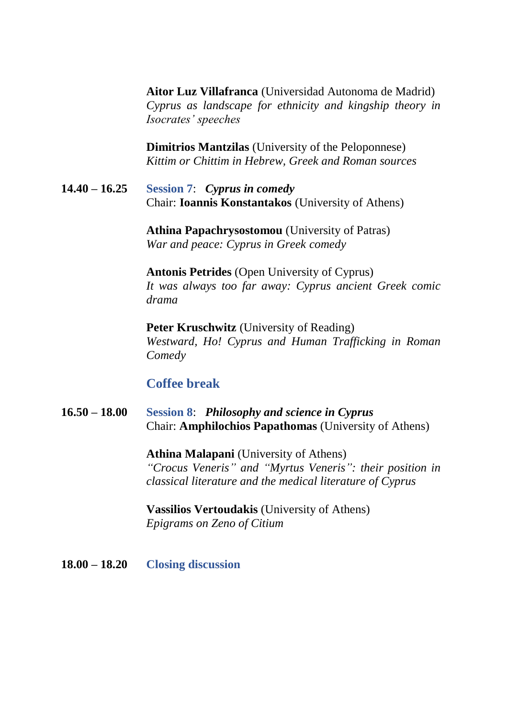**Aitor Luz Villafranca** (Universidad Autonoma de Madrid) *Cyprus as landscape for ethnicity and kingship theory in Isocrates' speeches*

**Dimitrios Mantzilas** (University of the Peloponnese) *Kittim or Chittim in Hebrew, Greek and Roman sources*

**14.40 – 16.25 Session 7**: *Cyprus in comedy* Chair: **Ioannis Konstantakos** (University of Athens)

> **Athina Papachrysostomou** (University of Patras) *War and peace: Cyprus in Greek comedy*

**Antonis Petrides** (Open University of Cyprus) *It was always too far away: Cyprus ancient Greek comic drama*

**Peter Kruschwitz** (University of Reading) *Westward, Ho! Cyprus and Human Trafficking in Roman Comedy*

### **Coffee break**

**16.50 – 18.00 Session 8**: *Philosophy and science in Cyprus* Chair: **Amphilochios Papathomas** (University of Athens)

> **Athina Malapani** (University of Athens) *"Crocus Veneris" and "Myrtus Veneris": their position in classical literature and the medical literature of Cyprus*

**Vassilios Vertoudakis** (University of Athens) *Epigrams on Zeno of Citium*

**18.00 – 18.20 Closing discussion**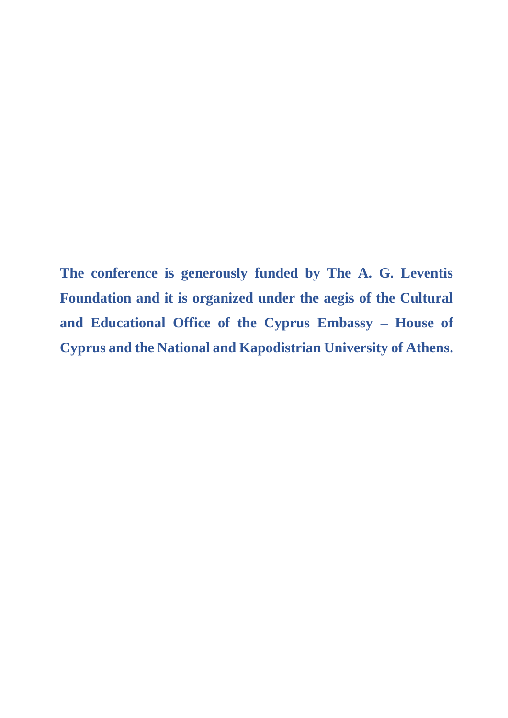**The conference is generously funded by The A. G. Leventis Foundation and it is organized under the aegis of the Cultural and Educational Office of the Cyprus Embassy – House of Cyprus and the National and Kapodistrian University of Athens.**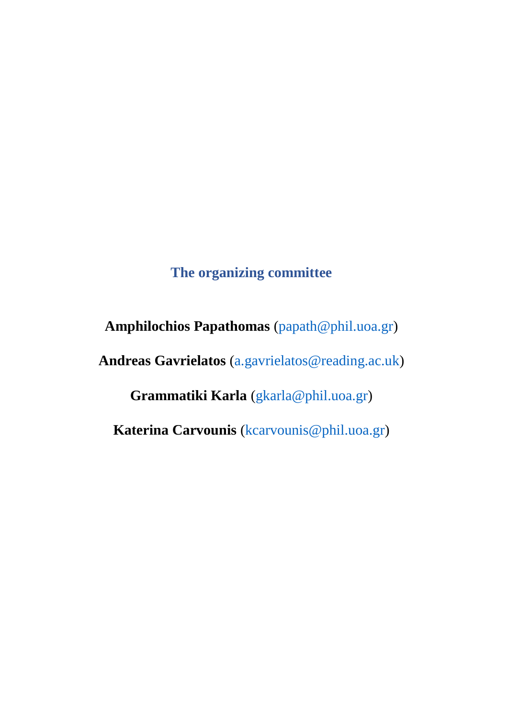## **The organizing committee**

**Amphilochios Papathomas** [\(papath@phil.uoa.gr\)](mailto:papath@phil.uoa.gr) **Andreas Gavrielatos** [\(a.gavrielatos@reading.ac.uk\)](mailto:a.gavrielatos@reading.ac.uk)

**Grammatiki Karla** [\(gkarla@phil.uoa.gr\)](mailto:gkarla@phil.uoa.gr)

**Katerina Carvounis** [\(kcarvounis@phil.uoa.gr\)](mailto:kcarvounis@phil.uoa.gr)